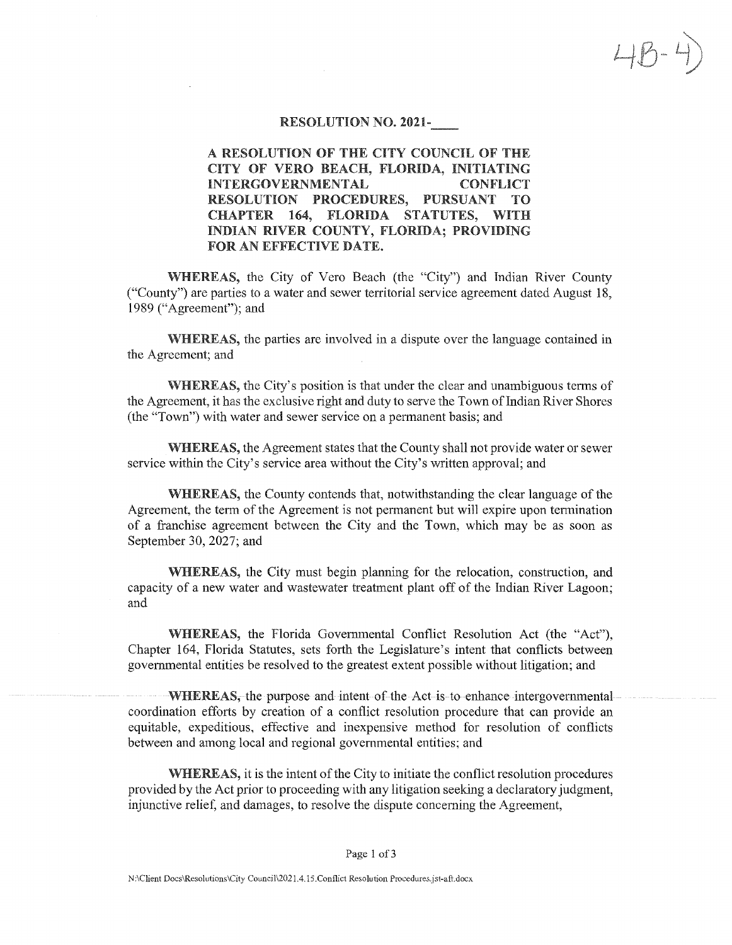### RESOLUTION NO. 2021-

 $4B - 4$ 

A RESOLUTION OF THE CITY COUNCIL OF THE CITY OF VERO BEACH, FLORIDA, INITIATING INTERGOVERNMENTAL CONFLICT RESOLUTION PROCEDURES, PURSUANT TO CHAPTER 164, FLORIDA STATUTES, WITH INDIAN RIVER COUNTY, FLORIDA; PROVIDING FOR AN EFFECTIVE DATE.

'WHEREAS, the City of Vero Beach (the "City") and Indian River County ("County") are parties to a water and sewer territorial service agreement dated August 18, 1989 ("Agreement"); and

\VHEREAS, the parties are involved in a dispute over the language contained in the Agreement; and

\VHEREAS, the City's position is that under the clear and unambiguous terms of the Agreement, it has the exclusive right and duty to serve the Town of Indian River Shores (the "Town") with water and sewer service on a permanent basis; and

WHEREAS, the Agreement states that the County shall not provide water or sewer service within the City's service area without the City's written approval; and

WHEREAS, the County contends that, notwithstanding the clear language of the Agreement, the term of the Agreement is not permanent but will expire upon termination of a franchise agreement between the City and the Town, which may be as soon as September 30, 2027; and

WHEREAS, the City must begin planning for the relocation, construction, and capacity of a new water and wastewater treatment plant off of the Indian River Lagoon; and

WHEREAS, the Florida Governmental Conflict Resolution Act (the "Act"), Chapter 164, Florida Statutes, sets forth the Legislature's intent that conflicts between governmental entities be resolved to the greatest extent possible without litigation; and

WHEREAS, the purpose and intent of the Act is to enhance intergovernmental coordination efforts by creation of a conflict resolution procedure that can provide an equitable, expeditious, effective and inexpensive method for resolution of conflicts between and among local and regional governmental entities; and

WHEREAS, it is the intent of the City to initiate the conflict resolution procedures provided by the Act prior to proceeding with any litigation seeking a declaratory judgment, injunctive relief, and damages, to resolve the dispute concerning the Agreement,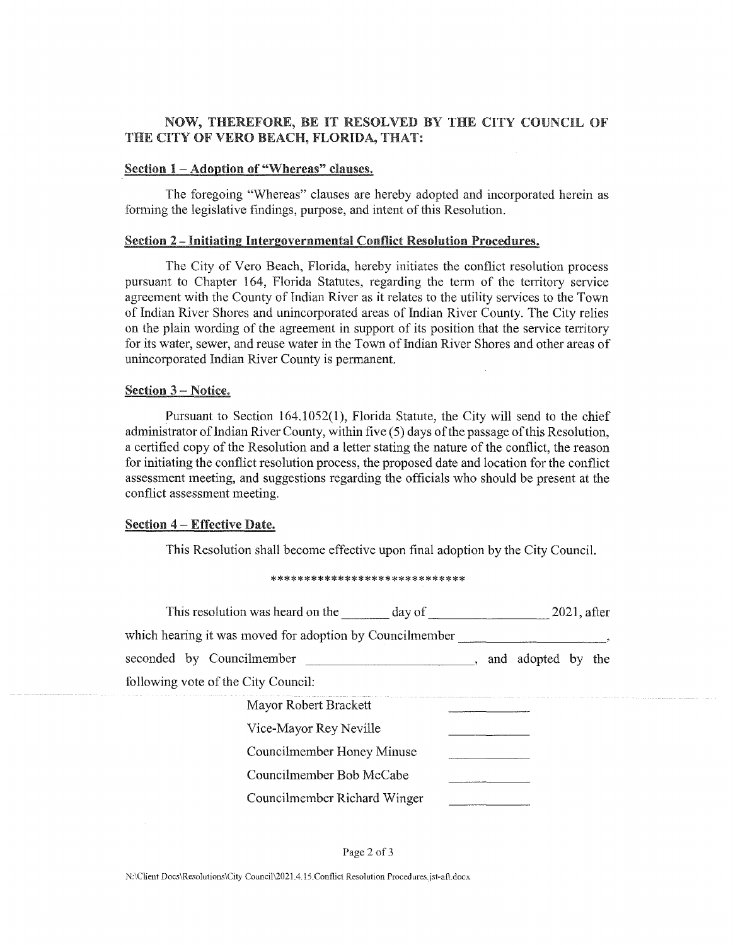# NOW, THEREFORE, BE IT RESOLVED BY THE CITY COUNCIL OF THE CITY OF VERO BEACH, FLORIDA, THAT:

### Section 1 - Adoption of "Whereas" clauses.

The foregoing "Whereas" clauses are hereby adopted and incorporated herein as forming the legislative findings, purpose, and intent of this Resolution.

### Section 2 - Initiating Intergovernmental Conflict Resolution Procedures.

The City of Vero Beach, Florida, hereby initiates the conflict resolution process pursuant to Chapter 164, Florida Statutes, regarding the term of the territory service agreement with the County of Indian River as it relates to the utility services to the Town of Indian River Shores and unincorporated areas of Indian River County. The City relies on the plain wording of the agreement in support of its position that the service territory for its water, sewer, and reuse water in the Town of Indian River Shores and other areas of unincorporated Indian River County is permanent.

## Section 3 - Notice.

Pursuant to Section 164,1052(1), Florida Statute, the City will send to the chief administrator of Indian River County, within five (5) days of the passage of this Resolution, a certified copy of the Resolution and a letter stating the nature of the conflict, the reason for initiating the conflict resolution process, the proposed date and location for the conflict assessment meeting, and suggestions regarding the officials who should be present at the conflict assessment meeting.

### Section 4 - Effective Date.

This Resolution shall become effective upon final adoption by the City Council.

#### \*\*\*\*\*\*\*\*\*\*\*\*\*\*\*\*\*\*\*\*\*\*\*\*\*\*

| This resolution was heard on the day of                  | $2021$ , after        |
|----------------------------------------------------------|-----------------------|
| which hearing it was moved for adoption by Councilmember |                       |
| seconded by Councilmember                                | and adopted by<br>the |
| following vote of the City Council:                      |                       |
| Mayor Robert Brackett                                    |                       |
| Vice-Mayor Rey Neville                                   |                       |
| Councilmember Honey Minuse                               |                       |
| Councilmember Bob McCabe                                 |                       |
| Councilmember Richard Winger                             |                       |

#### Page 2 of 3

N:\Client Docs\Resolutions\City Counci!\2021.4.15.Conflict Resolution Procedures.jst-aft.docx